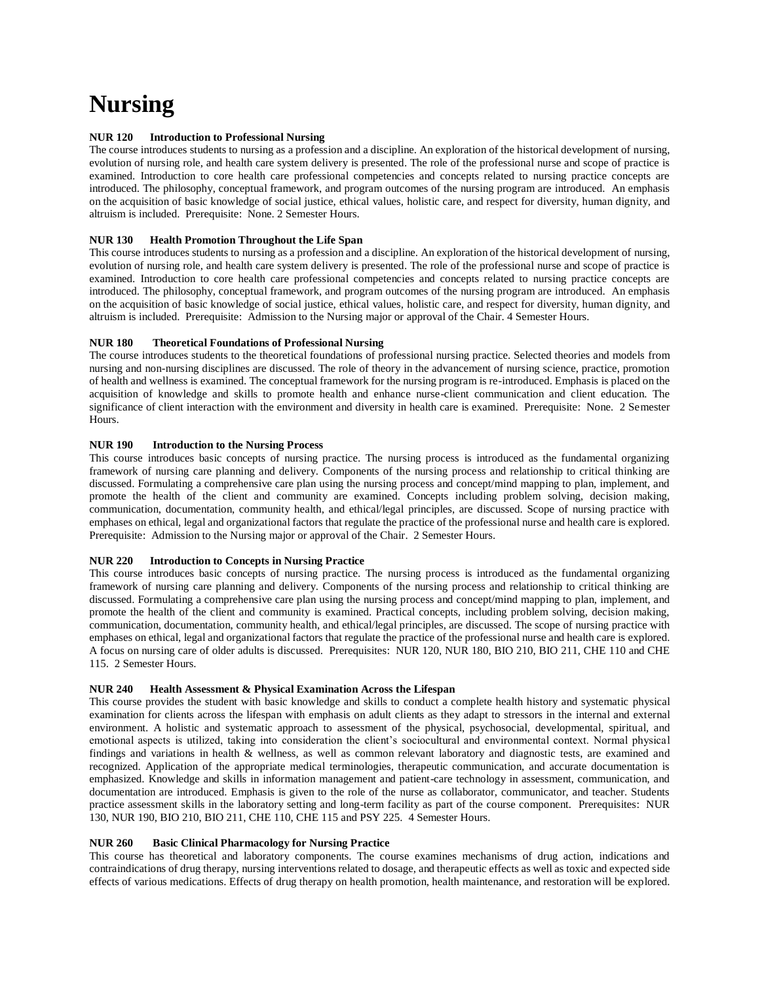# **Nursing**

# **NUR 120 Introduction to Professional Nursing**

The course introduces students to nursing as a profession and a discipline. An exploration of the historical development of nursing, evolution of nursing role, and health care system delivery is presented. The role of the professional nurse and scope of practice is examined. Introduction to core health care professional competencies and concepts related to nursing practice concepts are introduced. The philosophy, conceptual framework, and program outcomes of the nursing program are introduced. An emphasis on the acquisition of basic knowledge of social justice, ethical values, holistic care, and respect for diversity, human dignity, and altruism is included. Prerequisite: None. 2 Semester Hours.

# **NUR 130 Health Promotion Throughout the Life Span**

This course introduces students to nursing as a profession and a discipline. An exploration of the historical development of nursing, evolution of nursing role, and health care system delivery is presented. The role of the professional nurse and scope of practice is examined. Introduction to core health care professional competencies and concepts related to nursing practice concepts are introduced. The philosophy, conceptual framework, and program outcomes of the nursing program are introduced. An emphasis on the acquisition of basic knowledge of social justice, ethical values, holistic care, and respect for diversity, human dignity, and altruism is included. Prerequisite: Admission to the Nursing major or approval of the Chair. 4 Semester Hours.

# **NUR 180 Theoretical Foundations of Professional Nursing**

The course introduces students to the theoretical foundations of professional nursing practice. Selected theories and models from nursing and non-nursing disciplines are discussed. The role of theory in the advancement of nursing science, practice, promotion of health and wellness is examined. The conceptual framework for the nursing program is re-introduced. Emphasis is placed on the acquisition of knowledge and skills to promote health and enhance nurse-client communication and client education. The significance of client interaction with the environment and diversity in health care is examined. Prerequisite: None. 2 Semester Hours.

#### **NUR 190 Introduction to the Nursing Process**

This course introduces basic concepts of nursing practice. The nursing process is introduced as the fundamental organizing framework of nursing care planning and delivery. Components of the nursing process and relationship to critical thinking are discussed. Formulating a comprehensive care plan using the nursing process and concept/mind mapping to plan, implement, and promote the health of the client and community are examined. Concepts including problem solving, decision making, communication, documentation, community health, and ethical/legal principles, are discussed. Scope of nursing practice with emphases on ethical, legal and organizational factors that regulate the practice of the professional nurse and health care is explored. Prerequisite: Admission to the Nursing major or approval of the Chair. 2 Semester Hours.

#### **NUR 220 Introduction to Concepts in Nursing Practice**

This course introduces basic concepts of nursing practice. The nursing process is introduced as the fundamental organizing framework of nursing care planning and delivery. Components of the nursing process and relationship to critical thinking are discussed. Formulating a comprehensive care plan using the nursing process and concept/mind mapping to plan, implement, and promote the health of the client and community is examined. Practical concepts, including problem solving, decision making, communication, documentation, community health, and ethical/legal principles, are discussed. The scope of nursing practice with emphases on ethical, legal and organizational factors that regulate the practice of the professional nurse and health care is explored. A focus on nursing care of older adults is discussed. Prerequisites: NUR 120, NUR 180, BIO 210, BIO 211, CHE 110 and CHE 115. 2 Semester Hours.

#### **NUR 240 Health Assessment & Physical Examination Across the Lifespan**

This course provides the student with basic knowledge and skills to conduct a complete health history and systematic physical examination for clients across the lifespan with emphasis on adult clients as they adapt to stressors in the internal and external environment. A holistic and systematic approach to assessment of the physical, psychosocial, developmental, spiritual, and emotional aspects is utilized, taking into consideration the client's sociocultural and environmental context. Normal physical findings and variations in health & wellness, as well as common relevant laboratory and diagnostic tests, are examined and recognized. Application of the appropriate medical terminologies, therapeutic communication, and accurate documentation is emphasized. Knowledge and skills in information management and patient-care technology in assessment, communication, and documentation are introduced. Emphasis is given to the role of the nurse as collaborator, communicator, and teacher. Students practice assessment skills in the laboratory setting and long-term facility as part of the course component. Prerequisites: NUR 130, NUR 190, BIO 210, BIO 211, CHE 110, CHE 115 and PSY 225. 4 Semester Hours.

# **NUR 260 Basic Clinical Pharmacology for Nursing Practice**

This course has theoretical and laboratory components. The course examines mechanisms of drug action, indications and contraindications of drug therapy, nursing interventions related to dosage, and therapeutic effects as well as toxic and expected side effects of various medications. Effects of drug therapy on health promotion, health maintenance, and restoration will be explored.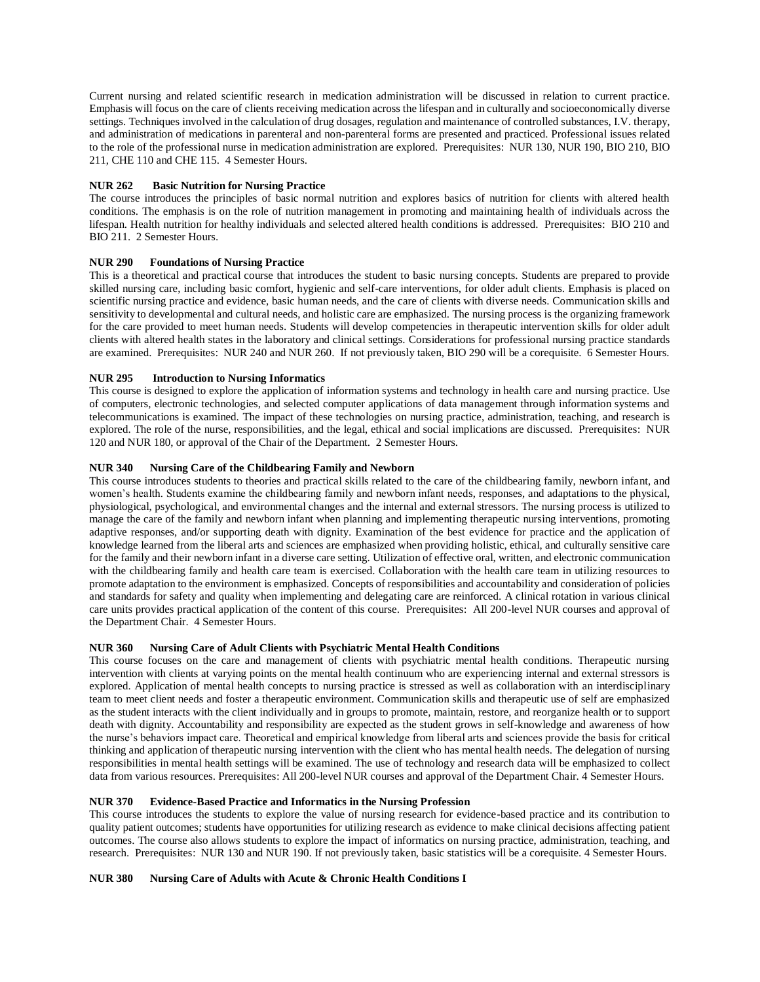Current nursing and related scientific research in medication administration will be discussed in relation to current practice. Emphasis will focus on the care of clients receiving medication across the lifespan and in culturally and socioeconomically diverse settings. Techniques involved in the calculation of drug dosages, regulation and maintenance of controlled substances, I.V. therapy, and administration of medications in parenteral and non-parenteral forms are presented and practiced. Professional issues related to the role of the professional nurse in medication administration are explored. Prerequisites: NUR 130, NUR 190, BIO 210, BIO 211, CHE 110 and CHE 115. 4 Semester Hours.

#### **NUR 262 Basic Nutrition for Nursing Practice**

The course introduces the principles of basic normal nutrition and explores basics of nutrition for clients with altered health conditions. The emphasis is on the role of nutrition management in promoting and maintaining health of individuals across the lifespan. Health nutrition for healthy individuals and selected altered health conditions is addressed. Prerequisites: BIO 210 and BIO 211. 2 Semester Hours.

# **NUR 290 Foundations of Nursing Practice**

This is a theoretical and practical course that introduces the student to basic nursing concepts. Students are prepared to provide skilled nursing care, including basic comfort, hygienic and self-care interventions, for older adult clients. Emphasis is placed on scientific nursing practice and evidence, basic human needs, and the care of clients with diverse needs. Communication skills and sensitivity to developmental and cultural needs, and holistic care are emphasized. The nursing process is the organizing framework for the care provided to meet human needs. Students will develop competencies in therapeutic intervention skills for older adult clients with altered health states in the laboratory and clinical settings. Considerations for professional nursing practice standards are examined. Prerequisites: NUR 240 and NUR 260. If not previously taken, BIO 290 will be a corequisite. 6 Semester Hours.

# **NUR 295 Introduction to Nursing Informatics**

This course is designed to explore the application of information systems and technology in health care and nursing practice. Use of computers, electronic technologies, and selected computer applications of data management through information systems and telecommunications is examined. The impact of these technologies on nursing practice, administration, teaching, and research is explored. The role of the nurse, responsibilities, and the legal, ethical and social implications are discussed. Prerequisites: NUR 120 and NUR 180, or approval of the Chair of the Department. 2 Semester Hours.

# **NUR 340 Nursing Care of the Childbearing Family and Newborn**

This course introduces students to theories and practical skills related to the care of the childbearing family, newborn infant, and women's health. Students examine the childbearing family and newborn infant needs, responses, and adaptations to the physical, physiological, psychological, and environmental changes and the internal and external stressors. The nursing process is utilized to manage the care of the family and newborn infant when planning and implementing therapeutic nursing interventions, promoting adaptive responses, and/or supporting death with dignity. Examination of the best evidence for practice and the application of knowledge learned from the liberal arts and sciences are emphasized when providing holistic, ethical, and culturally sensitive care for the family and their newborn infant in a diverse care setting. Utilization of effective oral, written, and electronic communication with the childbearing family and health care team is exercised. Collaboration with the health care team in utilizing resources to promote adaptation to the environment is emphasized. Concepts of responsibilities and accountability and consideration of policies and standards for safety and quality when implementing and delegating care are reinforced. A clinical rotation in various clinical care units provides practical application of the content of this course. Prerequisites: All 200-level NUR courses and approval of the Department Chair. 4 Semester Hours.

# **NUR 360 Nursing Care of Adult Clients with Psychiatric Mental Health Conditions**

This course focuses on the care and management of clients with psychiatric mental health conditions. Therapeutic nursing intervention with clients at varying points on the mental health continuum who are experiencing internal and external stressors is explored. Application of mental health concepts to nursing practice is stressed as well as collaboration with an interdisciplinary team to meet client needs and foster a therapeutic environment. Communication skills and therapeutic use of self are emphasized as the student interacts with the client individually and in groups to promote, maintain, restore, and reorganize health or to support death with dignity. Accountability and responsibility are expected as the student grows in self-knowledge and awareness of how the nurse's behaviors impact care. Theoretical and empirical knowledge from liberal arts and sciences provide the basis for critical thinking and application of therapeutic nursing intervention with the client who has mental health needs. The delegation of nursing responsibilities in mental health settings will be examined. The use of technology and research data will be emphasized to collect data from various resources. Prerequisites: All 200-level NUR courses and approval of the Department Chair. 4 Semester Hours.

# **NUR 370 Evidence-Based Practice and Informatics in the Nursing Profession**

This course introduces the students to explore the value of nursing research for evidence-based practice and its contribution to quality patient outcomes; students have opportunities for utilizing research as evidence to make clinical decisions affecting patient outcomes. The course also allows students to explore the impact of informatics on nursing practice, administration, teaching, and research. Prerequisites: NUR 130 and NUR 190. If not previously taken, basic statistics will be a corequisite. 4 Semester Hours.

#### **NUR 380 Nursing Care of Adults with Acute & Chronic Health Conditions I**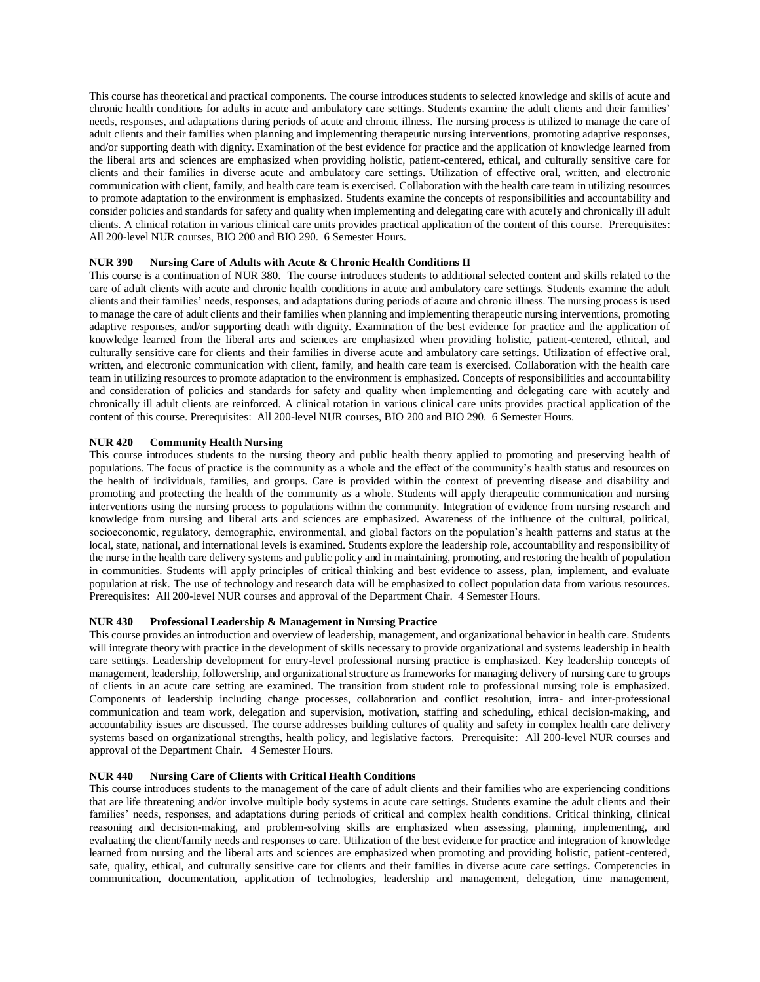This course has theoretical and practical components. The course introduces students to selected knowledge and skills of acute and chronic health conditions for adults in acute and ambulatory care settings. Students examine the adult clients and their families' needs, responses, and adaptations during periods of acute and chronic illness. The nursing process is utilized to manage the care of adult clients and their families when planning and implementing therapeutic nursing interventions, promoting adaptive responses, and/or supporting death with dignity. Examination of the best evidence for practice and the application of knowledge learned from the liberal arts and sciences are emphasized when providing holistic, patient-centered, ethical, and culturally sensitive care for clients and their families in diverse acute and ambulatory care settings. Utilization of effective oral, written, and electronic communication with client, family, and health care team is exercised. Collaboration with the health care team in utilizing resources to promote adaptation to the environment is emphasized. Students examine the concepts of responsibilities and accountability and consider policies and standards for safety and quality when implementing and delegating care with acutely and chronically ill adult clients. A clinical rotation in various clinical care units provides practical application of the content of this course. Prerequisites: All 200-level NUR courses, BIO 200 and BIO 290. 6 Semester Hours.

# **NUR 390 Nursing Care of Adults with Acute & Chronic Health Conditions II**

This course is a continuation of NUR 380. The course introduces students to additional selected content and skills related to the care of adult clients with acute and chronic health conditions in acute and ambulatory care settings. Students examine the adult clients and their families' needs, responses, and adaptations during periods of acute and chronic illness. The nursing process is used to manage the care of adult clients and their families when planning and implementing therapeutic nursing interventions, promoting adaptive responses, and/or supporting death with dignity. Examination of the best evidence for practice and the application of knowledge learned from the liberal arts and sciences are emphasized when providing holistic, patient-centered, ethical, and culturally sensitive care for clients and their families in diverse acute and ambulatory care settings. Utilization of effective oral, written, and electronic communication with client, family, and health care team is exercised. Collaboration with the health care team in utilizing resources to promote adaptation to the environment is emphasized. Concepts of responsibilities and accountability and consideration of policies and standards for safety and quality when implementing and delegating care with acutely and chronically ill adult clients are reinforced. A clinical rotation in various clinical care units provides practical application of the content of this course. Prerequisites: All 200-level NUR courses, BIO 200 and BIO 290. 6 Semester Hours.

# **NUR 420 Community Health Nursing**

This course introduces students to the nursing theory and public health theory applied to promoting and preserving health of populations. The focus of practice is the community as a whole and the effect of the community's health status and resources on the health of individuals, families, and groups. Care is provided within the context of preventing disease and disability and promoting and protecting the health of the community as a whole. Students will apply therapeutic communication and nursing interventions using the nursing process to populations within the community. Integration of evidence from nursing research and knowledge from nursing and liberal arts and sciences are emphasized. Awareness of the influence of the cultural, political, socioeconomic, regulatory, demographic, environmental, and global factors on the population's health patterns and status at the local, state, national, and international levels is examined. Students explore the leadership role, accountability and responsibility of the nurse in the health care delivery systems and public policy and in maintaining, promoting, and restoring the health of population in communities. Students will apply principles of critical thinking and best evidence to assess, plan, implement, and evaluate population at risk. The use of technology and research data will be emphasized to collect population data from various resources. Prerequisites: All 200-level NUR courses and approval of the Department Chair. 4 Semester Hours.

# **NUR 430 Professional Leadership & Management in Nursing Practice**

This course provides an introduction and overview of leadership, management, and organizational behavior in health care. Students will integrate theory with practice in the development of skills necessary to provide organizational and systems leadership in health care settings. Leadership development for entry-level professional nursing practice is emphasized. Key leadership concepts of management, leadership, followership, and organizational structure as frameworks for managing delivery of nursing care to groups of clients in an acute care setting are examined. The transition from student role to professional nursing role is emphasized. Components of leadership including change processes, collaboration and conflict resolution, intra- and inter-professional communication and team work, delegation and supervision, motivation, staffing and scheduling, ethical decision-making, and accountability issues are discussed. The course addresses building cultures of quality and safety in complex health care delivery systems based on organizational strengths, health policy, and legislative factors. Prerequisite: All 200-level NUR courses and approval of the Department Chair. 4 Semester Hours.

# **NUR 440 Nursing Care of Clients with Critical Health Conditions**

This course introduces students to the management of the care of adult clients and their families who are experiencing conditions that are life threatening and/or involve multiple body systems in acute care settings. Students examine the adult clients and their families' needs, responses, and adaptations during periods of critical and complex health conditions. Critical thinking, clinical reasoning and decision-making, and problem-solving skills are emphasized when assessing, planning, implementing, and evaluating the client/family needs and responses to care. Utilization of the best evidence for practice and integration of knowledge learned from nursing and the liberal arts and sciences are emphasized when promoting and providing holistic, patient-centered, safe, quality, ethical, and culturally sensitive care for clients and their families in diverse acute care settings. Competencies in communication, documentation, application of technologies, leadership and management, delegation, time management,